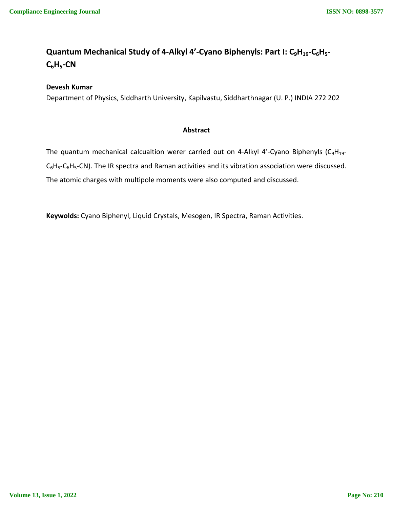# **Quantum Mechanical Study of 4-Alkyl 4'-Cyano Biphenyls: Part I: C9H19-C6H5- C6H5-CN**

## **Devesh Kumar**

Department of Physics, SIddharth University, Kapilvastu, Siddharthnagar (U. P.) INDIA 272 202

### **Abstract**

The quantum mechanical calcualtion werer carried out on 4-Alkyl 4'-Cyano Biphenyls (C<sub>9</sub>H<sub>19</sub>- $C_6H_5-C_6H_5-C$ N). The IR spectra and Raman activities and its vibration association were discussed. The atomic charges with multipole moments were also computed and discussed.

**Keywolds:** Cyano Biphenyl, Liquid Crystals, Mesogen, IR Spectra, Raman Activities.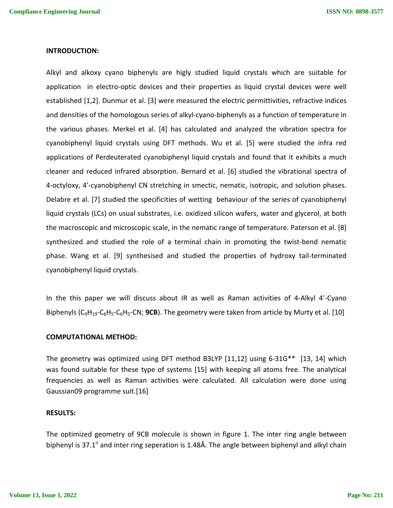#### **INTRODUCTION:**

Alkyl and alkoxy cyano biphenyls are higly studied liquid crystals which are suitable for application in electro-optic devices and their properties as liquid crystal devices were well established [1,2]. Dunmur et al. [3] were measured the electric permittivities, refractive indices and densities of the homologous series of alkyl-cyano-biphenyls as a function of temperature in the various phases. Merkel et al. [4] has calculated and analyzed the vibration spectra for cyanobiphenyl liquid crystals using DFT methods. Wu et al. [5] were studied the infra red applications of Perdeuterated cyanobiphenyl liquid crystals and found that it exhibits a much cleaner and reduced infrared absorption. Bernard et al. [6] studied the vibrational spectra of 4-octyloxy, 4′-cyanobiphenyl CN stretching in smectic, nematic, isotropic, and solution phases. Delabre et al. [7] studied the specificities of wetting behaviour of the series of cyanobiphenyl liquid crystals (LCs) on usual substrates, i.e. oxidized silicon wafers, water and glycerol, at both the macroscopic and microscopic scale, in the nematic range of temperature. Paterson et al. [8] synthesized and studied the role of a terminal chain in promoting the twist-bend nematic phase. Wang et al. [9] synthesised and studied the properties of hydroxy tail-terminated cyanobiphenyl liquid crystals.

In the this paper we will discuss about IR as well as Raman activities of 4-Alkyl 4'-Cyano Biphenyls (C<sub>9</sub>H<sub>19</sub>-C<sub>6</sub>H<sub>5</sub>-C<sub>6</sub>H<sub>5</sub>-CN; **9CB**). The geometry were taken from article by Murty et al. [10]

#### **COMPUTATIONAL METHOD:**

The geometry was optimized using DFT method B3LYP [11,12] using 6-31G\*\* [13, 14] which was found suitable for these type of systems [15] with keeping all atoms free. The analytical frequencies as well as Raman activities were calculated. All calculation were done using Gaussian09 programme suit.[16]

#### **RESULTS:**

The optimized geometry of 9CB molecule is shown in figure 1. The inter ring angle between biphenyl is 37.1 $^{\circ}$  and inter ring seperation is 1.48Å. The angle between biphenyl and alkyl chain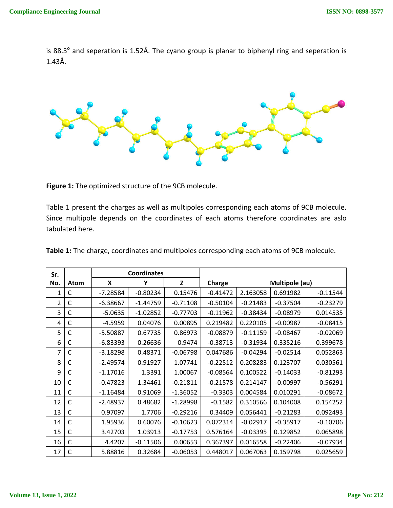is 88.3 $^{\circ}$  and seperation is 1.52Å. The cyano group is planar to biphenyl ring and seperation is 1.43Å.



**Figure 1:** The optimized structure of the 9CB molecule.

Table 1 present the charges as well as multipoles corresponding each atoms of 9CB molecule. Since multipole depends on the coordinates of each atoms therefore coordinates are aslo tabulated here.

| Sr. |             | <b>Coordinates</b> |            |            |            |            |                |            |
|-----|-------------|--------------------|------------|------------|------------|------------|----------------|------------|
| No. | <b>Atom</b> | X                  | Υ          | Z          | Charge     |            | Multipole (au) |            |
| 1   | С           | $-7.28584$         | $-0.80234$ | 0.15476    | $-0.41472$ | 2.163058   | 0.691982       | $-0.11544$ |
| 2   | C           | $-6.38667$         | $-1.44759$ | $-0.71108$ | $-0.50104$ | $-0.21483$ | $-0.37504$     | $-0.23279$ |
| 3   | С           | $-5.0635$          | $-1.02852$ | $-0.77703$ | $-0.11962$ | $-0.38434$ | $-0.08979$     | 0.014535   |
| 4   | C           | $-4.5959$          | 0.04076    | 0.00895    | 0.219482   | 0.220105   | $-0.00987$     | $-0.08415$ |
| 5   | С           | $-5.50887$         | 0.67735    | 0.86973    | $-0.08879$ | $-0.11159$ | $-0.08467$     | $-0.02069$ |
| 6   | С           | $-6.83393$         | 0.26636    | 0.9474     | $-0.38713$ | $-0.31934$ | 0.335216       | 0.399678   |
| 7   | C           | $-3.18298$         | 0.48371    | $-0.06798$ | 0.047686   | $-0.04294$ | $-0.02514$     | 0.052863   |
| 8   | C           | $-2.49574$         | 0.91927    | 1.07741    | $-0.22512$ | 0.208283   | 0.123707       | 0.030561   |
| 9   | C           | $-1.17016$         | 1.3391     | 1.00067    | $-0.08564$ | 0.100522   | $-0.14033$     | $-0.81293$ |
| 10  | C           | $-0.47823$         | 1.34461    | $-0.21811$ | $-0.21578$ | 0.214147   | $-0.00997$     | $-0.56291$ |
| 11  | C           | $-1.16484$         | 0.91069    | $-1.36052$ | $-0.3303$  | 0.004584   | 0.010291       | $-0.08672$ |
| 12  | C           | $-2.48937$         | 0.48682    | $-1.28998$ | $-0.1582$  | 0.310566   | 0.104008       | 0.154252   |
| 13  | C           | 0.97097            | 1.7706     | $-0.29216$ | 0.34409    | 0.056441   | $-0.21283$     | 0.092493   |
| 14  | C           | 1.95936            | 0.60076    | $-0.10623$ | 0.072314   | $-0.02917$ | $-0.35917$     | $-0.10706$ |
| 15  | C           | 3.42703            | 1.03913    | $-0.17753$ | 0.576164   | $-0.03395$ | 0.129852       | 0.065898   |
| 16  | C           | 4.4207             | $-0.11506$ | 0.00653    | 0.367397   | 0.016558   | $-0.22406$     | $-0.07934$ |
| 17  | C           | 5.88816            | 0.32684    | $-0.06053$ | 0.448017   | 0.067063   | 0.159798       | 0.025659   |

**Table 1:** The charge, coordinates and multipoles corresponding each atoms of 9CB molecule.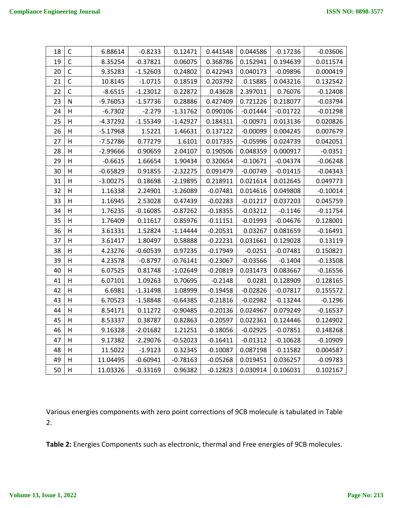| 18 | $\mathsf{C}$            | 6.88614    | $-0.8233$  | 0.12471    | 0.441548   | 0.044586   | $-0.17236$ | $-0.03606$ |
|----|-------------------------|------------|------------|------------|------------|------------|------------|------------|
| 19 | $\mathsf{C}$            | 8.35254    | $-0.37821$ | 0.06075    | 0.368786   | 0.152941   | 0.194639   | 0.011574   |
| 20 | $\mathsf C$             | 9.35283    | $-1.52603$ | 0.24802    | 0.422943   | 0.040173   | $-0.09896$ | 0.000419   |
| 21 | $\mathsf{C}$            | 10.8145    | $-1.0715$  | 0.18519    | 0.203792   | 0.15885    | 0.043216   | 0.132542   |
| 22 | $\mathsf{C}$            | $-8.6515$  | $-1.23012$ | 0.22872    | 0.43628    | 2.397011   | 0.76076    | $-0.12408$ |
| 23 | N                       | $-9.76053$ | $-1.57736$ | 0.28886    | 0.427409   | 0.721226   | 0.218077   | $-0.03794$ |
| 24 | H                       | $-6.7302$  | $-2.279$   | $-1.31762$ | 0.090106   | $-0.01444$ | $-0.01722$ | $-0.01298$ |
| 25 | H                       | $-4.37292$ | $-1.55349$ | $-1.42927$ | 0.184311   | $-0.00971$ | 0.013136   | 0.020826   |
| 26 | H                       | $-5.17968$ | 1.5221     | 1.46631    | 0.137122   | $-0.00099$ | 0.004245   | 0.007679   |
| 27 | H                       | $-7.52786$ | 0.77279    | 1.6101     | 0.017335   | $-0.05996$ | 0.024739   | 0.042051   |
| 28 | H                       | $-2.99666$ | 0.90659    | 2.04107    | 0.190506   | 0.048359   | 0.000917   | $-0.0351$  |
| 29 | H                       | $-0.6615$  | 1.66654    | 1.90434    | 0.320654   | $-0.10671$ | $-0.04374$ | $-0.06248$ |
| 30 | $\overline{\mathsf{H}}$ | $-0.65829$ | 0.91855    | $-2.32275$ | 0.091479   | $-0.00749$ | $-0.01415$ | $-0.04343$ |
| 31 | Н                       | $-3.00275$ | 0.18698    | $-2.19895$ | 0.218911   | 0.021614   | 0.012645   | 0.049773   |
| 32 | H                       | 1.16338    | 2.24901    | $-1.26089$ | $-0.07481$ | 0.014616   | 0.049808   | $-0.10014$ |
| 33 | H                       | 1.16945    | 2.53028    | 0.47439    | $-0.02283$ | $-0.01217$ | 0.037203   | 0.045759   |
| 34 | $\overline{H}$          | 1.76235    | $-0.16085$ | $-0.87262$ | $-0.18355$ | $-0.03212$ | $-0.1146$  | $-0.11754$ |
| 35 | H                       | 1.76409    | 0.11617    | 0.85976    | $-0.11151$ | $-0.01993$ | $-0.04676$ | 0.128001   |
| 36 | H                       | 3.61331    | 1.52824    | $-1.14444$ | $-0.20531$ | 0.03267    | 0.081659   | $-0.16491$ |
| 37 | H                       | 3.61417    | 1.80497    | 0.58888    | $-0.22231$ | 0.031661   | 0.129028   | 0.13119    |
| 38 | $\overline{\mathsf{H}}$ | 4.23276    | $-0.60539$ | 0.97235    | $-0.17949$ | $-0.0251$  | $-0.07481$ | 0.150821   |
| 39 | Н                       | 4.23578    | $-0.8797$  | $-0.76141$ | $-0.23067$ | $-0.03566$ | $-0.1404$  | $-0.13508$ |
| 40 | H                       | 6.07525    | 0.81748    | $-1.02649$ | $-0.20819$ | 0.031473   | 0.083667   | $-0.16556$ |
| 41 | H                       | 6.07101    | 1.09263    | 0.70695    | $-0.2148$  | 0.0281     | 0.128909   | 0.128165   |
| 42 | $\overline{H}$          | 6.6981     | $-1.31498$ | 1.08999    | $-0.19458$ | $-0.02826$ | $-0.07817$ | 0.155572   |
| 43 | H                       | 6.70523    | $-1.58848$ | -0.64385   | $-0.21816$ | $-0.02982$ | $-0.13244$ | $-0.1296$  |
| 44 | H                       | 8.54171    | 0.11272    | $-0.90485$ | $-0.20136$ | 0.024967   | 0.079249   | $-0.16537$ |
| 45 | H                       | 8.53337    | 0.38787    | 0.82863    | $-0.20597$ | 0.022361   | 0.124446   | 0.124902   |
| 46 | H                       | 9.16328    | $-2.01682$ | 1.21251    | $-0.18056$ | $-0.02925$ | $-0.07851$ | 0.148268   |
| 47 | н                       | 9.17382    | -2.29076   | $-0.52023$ | $-0.16411$ | $-0.01312$ | $-0.10628$ | $-0.10909$ |
| 48 | Н                       | 11.5022    | $-1.9123$  | 0.32345    | $-0.10087$ | 0.087198   | $-0.11582$ | 0.004587   |
| 49 | H                       | 11.04495   | $-0.60941$ | $-0.78163$ | $-0.05268$ | 0.019451   | 0.036257   | $-0.09783$ |
| 50 | H                       | 11.03326   | $-0.33169$ | 0.96382    | $-0.12823$ | 0.030914   | 0.106031   | 0.102167   |

Various energies components with zero point corrections of 9CB molecule is tabulated in Table 2.

**Table 2:** Energies Components such as electronic, thermal and Free energies of 9CB molecules.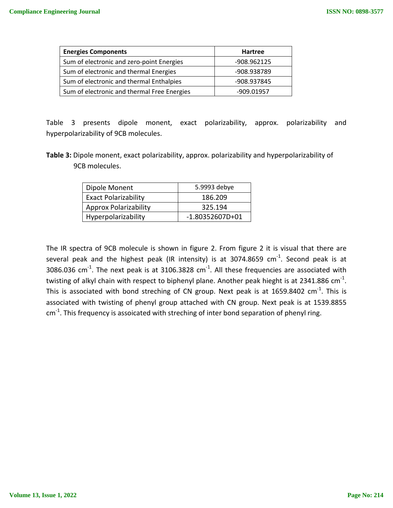| <b>Energies Components</b>                  | <b>Hartree</b> |  |  |
|---------------------------------------------|----------------|--|--|
| Sum of electronic and zero-point Energies   | -908.962125    |  |  |
| Sum of electronic and thermal Energies      | -908.938789    |  |  |
| Sum of electronic and thermal Enthalpies    | -908.937845    |  |  |
| Sum of electronic and thermal Free Energies | -909.01957     |  |  |

Table 3 presents dipole monent, exact polarizability, approx. polarizability and hyperpolarizability of 9CB molecules.

**Table 3:** Dipole monent, exact polarizability, approx. polarizability and hyperpolarizability of 9CB molecules.

| Dipole Monent                | 5.9993 debye      |  |  |
|------------------------------|-------------------|--|--|
| <b>Exact Polarizability</b>  | 186.209           |  |  |
| <b>Approx Polarizability</b> | 325.194           |  |  |
| Hyperpolarizability          | $-1.80352607D+01$ |  |  |

The IR spectra of 9CB molecule is shown in figure 2. From figure 2 it is visual that there are several peak and the highest peak (IR intensity) is at 3074.8659  $cm^{-1}$ . Second peak is at 3086.036  $cm^{-1}$ . The next peak is at 3106.3828  $cm^{-1}$ . All these frequencies are associated with twisting of alkyl chain with respect to biphenyl plane. Another peak hieght is at 2341.886 cm<sup>-1</sup>. This is associated with bond streching of CN group. Next peak is at 1659.8402  $\text{cm}^{\text{-1}}$ . This is associated with twisting of phenyl group attached with CN group. Next peak is at 1539.8855  $cm<sup>-1</sup>$ . This frequency is assoicated with streching of inter bond separation of phenyl ring.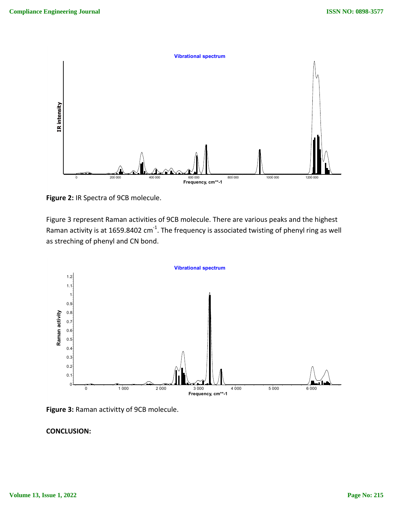

**Figure 2:** IR Spectra of 9CB molecule.

Figure 3 represent Raman activities of 9CB molecule. There are various peaks and the highest Raman activity is at 1659.8402 cm<sup>-1</sup>. The frequency is associated twisting of phenyl ring as well as streching of phenyl and CN bond.



**Figure 3:** Raman activitty of 9CB molecule.

# **CONCLUSION:**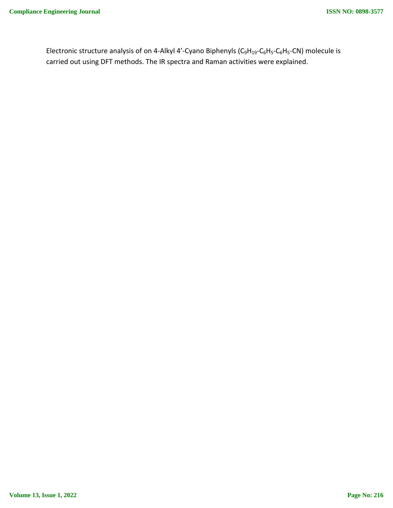Electronic structure analysis of on 4-Alkyl 4'-Cyano Biphenyls ( $C_9H_{19}$ - $C_6H_5$ - $C_6H_5$ -CN) molecule is carried out using DFT methods. The IR spectra and Raman activities were explained.